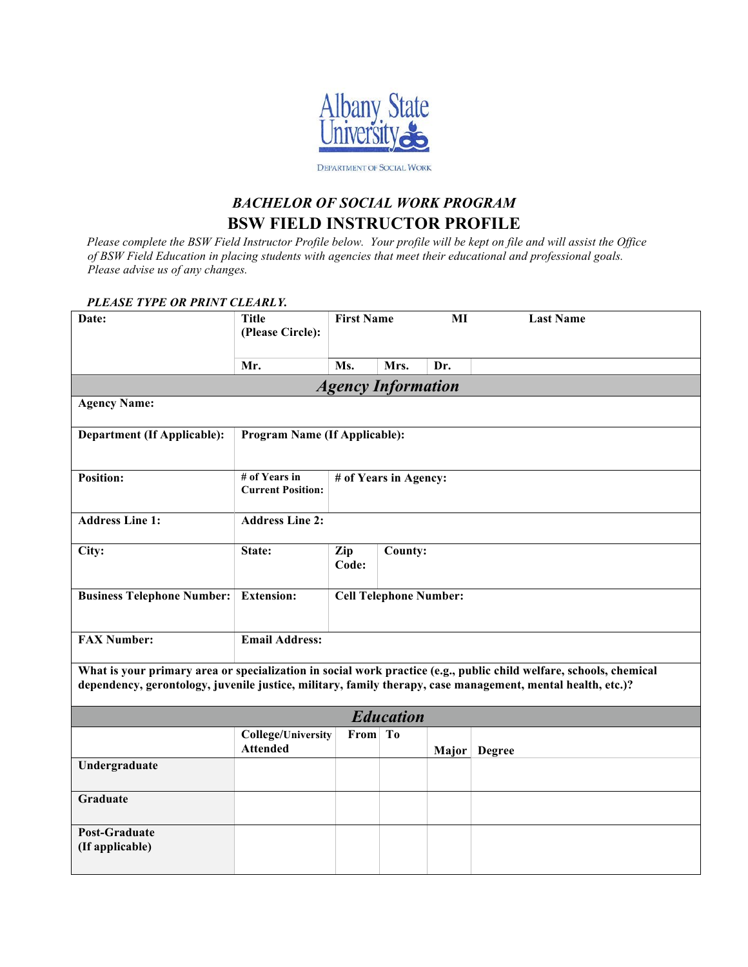

## *BACHELOR OF SOCIAL WORK PROGRAM*  **BSW FIELD INSTRUCTOR PROFILE**

*Please complete the BSW Field Instructor Profile below. Your profile will be kept on file and will assist the Office of BSW Field Education in placing students with agencies that meet their educational and professional goals. Please advise us of any changes.* 

| PLEASE TYPE OR PRINT CLEARLY.      |                                              |                               |                  |       |                                                                                                                                                                                                                                   |
|------------------------------------|----------------------------------------------|-------------------------------|------------------|-------|-----------------------------------------------------------------------------------------------------------------------------------------------------------------------------------------------------------------------------------|
| Date:                              | <b>Title</b><br>(Please Circle):             | <b>First Name</b>             |                  | MI    | <b>Last Name</b>                                                                                                                                                                                                                  |
|                                    | Mr.                                          | Ms.                           | Mrs.             | Dr.   |                                                                                                                                                                                                                                   |
|                                    |                                              | <b>Agency Information</b>     |                  |       |                                                                                                                                                                                                                                   |
| <b>Agency Name:</b>                |                                              |                               |                  |       |                                                                                                                                                                                                                                   |
| <b>Department (If Applicable):</b> | <b>Program Name (If Applicable):</b>         |                               |                  |       |                                                                                                                                                                                                                                   |
| <b>Position:</b>                   | # of Years in<br><b>Current Position:</b>    | # of Years in Agency:         |                  |       |                                                                                                                                                                                                                                   |
| <b>Address Line 1:</b>             | <b>Address Line 2:</b>                       |                               |                  |       |                                                                                                                                                                                                                                   |
| City:                              | State:                                       | Zip<br>Code:                  | County:          |       |                                                                                                                                                                                                                                   |
| <b>Business Telephone Number:</b>  | <b>Extension:</b>                            | <b>Cell Telephone Number:</b> |                  |       |                                                                                                                                                                                                                                   |
| <b>FAX Number:</b>                 | <b>Email Address:</b>                        |                               |                  |       |                                                                                                                                                                                                                                   |
|                                    |                                              |                               |                  |       | What is your primary area or specialization in social work practice (e.g., public child welfare, schools, chemical<br>dependency, gerontology, juvenile justice, military, family therapy, case management, mental health, etc.)? |
|                                    |                                              |                               | <b>Education</b> |       |                                                                                                                                                                                                                                   |
|                                    | <b>College/University</b><br><b>Attended</b> | From To                       |                  | Major | <b>Degree</b>                                                                                                                                                                                                                     |
| Undergraduate                      |                                              |                               |                  |       |                                                                                                                                                                                                                                   |
| <b>Graduate</b>                    |                                              |                               |                  |       |                                                                                                                                                                                                                                   |
| Post-Graduate<br>(If applicable)   |                                              |                               |                  |       |                                                                                                                                                                                                                                   |